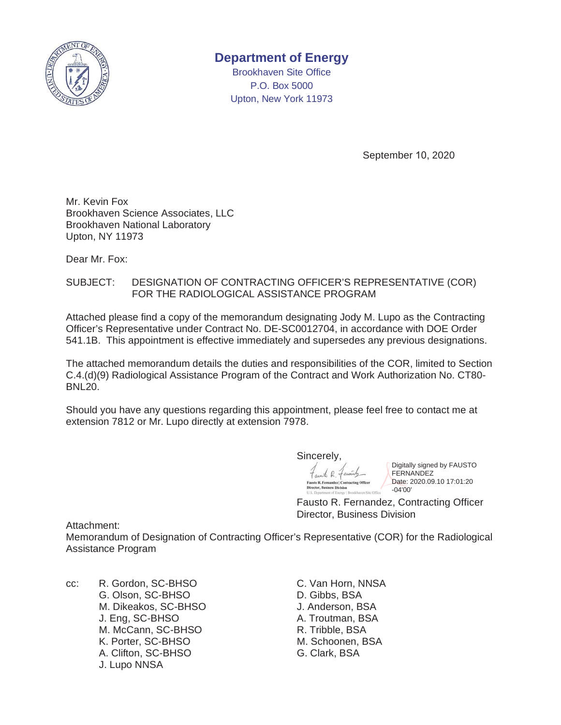

## **Department of Energy**

Brookhaven Site Office P.O. Box 5000 Upton, New York 11973

September 10, 2020

Mr. Kevin Fox Brookhaven Science Associates, LLC Brookhaven National Laboratory Upton, NY 11973

Dear Mr. Fox:

#### SUBJECT: DESIGNATION OF CONTRACTING OFFICER'S REPRESENTATIVE (COR) FOR THE RADIOLOGICAL ASSISTANCE PROGRAM

Attached please find a copy of the memorandum designating Jody M. Lupo as the Contracting Officer's Representative under Contract No. DE-SC0012704, in accordance with DOE Order 541.1B. This appointment is effective immediately and supersedes any previous designations.

The attached memorandum details the duties and responsibilities of the COR, limited to Section C.4.(d)(9) Radiological Assistance Program of the Contract and Work Authorization No. CT80- BNL20.

Should you have any questions regarding this appointment, please feel free to contact me at extension 7812 or Mr. Lupo directly at extension 7978.

Sincerely,

 $68.$ 

Digitally signed by FAUSTO FERNANDEZ Date: 2020.09.10 17:01:20 -04'00'

Fausto R. Fernandez, Contracting Officer Director, Business Division

Attachment:

Memorandum of Designation of Contracting Officer's Representative (COR) for the Radiological Assistance Program

cc: R. Gordon, SC-BHSO C. Van Horn, NNSA G. Olson, SC-BHSO D. Gibbs, BSA M. Dikeakos, SC-BHSO J. Anderson, BSA J. Eng, SC-BHSO A. Troutman, BSA M. McCann, SC-BHSO R. Tribble, BSA K. Porter, SC-BHSO M. Schoonen, BSA A. Clifton, SC-BHSO G. Clark, BSA J. Lupo NNSA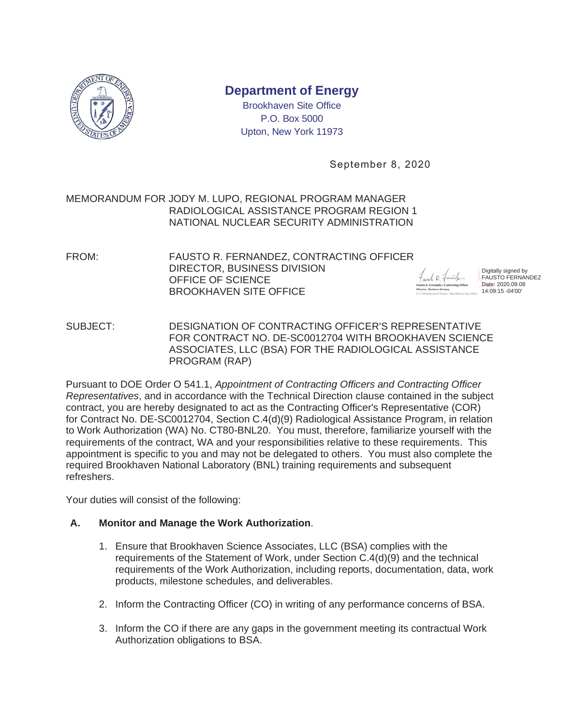

# **Department of Energy**

Brookhaven Site Office P.O. Box 5000 Upton, New York 11973

September 8, 2020

#### MEMORANDUM FOR JODY M. LUPO, REGIONAL PROGRAM MANAGER RADIOLOGICAL ASSISTANCE PROGRAM REGION 1 NATIONAL NUCLEAR SECURITY ADMINISTRATION

FROM: FAUSTO R. FERNANDEZ, CONTRACTING OFFICER DIRECTOR, BUSINESS DIVISION OFFICE OF SCIENCE BROOKHAVEN SITE OFFICE

Digitally signed by FAUSTO FERNANDEZ Date: 2020.09.08 14:09:15 -04'00'

SUBJECT: DESIGNATION OF CONTRACTING OFFICER'S REPRESENTATIVE FOR CONTRACT NO. DE-SC0012704 WITH BROOKHAVEN SCIENCE ASSOCIATES, LLC (BSA) FOR THE RADIOLOGICAL ASSISTANCE PROGRAM (RAP)

Pursuant to DOE Order O 541.1, *Appointment of Contracting Officers and Contracting Officer Representatives*, and in accordance with the Technical Direction clause contained in the subject contract, you are hereby designated to act as the Contracting Officer's Representative (COR) for Contract No. DE-SC0012704, Section C.4(d)(9) Radiological Assistance Program, in relation to Work Authorization (WA) No. CT80-BNL20. You must, therefore, familiarize yourself with the requirements of the contract, WA and your responsibilities relative to these requirements. This appointment is specific to you and may not be delegated to others. You must also complete the required Brookhaven National Laboratory (BNL) training requirements and subsequent refreshers.

Your duties will consist of the following:

### **A. Monitor and Manage the Work Authorization**.

- 1. Ensure that Brookhaven Science Associates, LLC (BSA) complies with the requirements of the Statement of Work, under Section C.4(d)(9) and the technical requirements of the Work Authorization, including reports, documentation, data, work products, milestone schedules, and deliverables.
- 2. Inform the Contracting Officer (CO) in writing of any performance concerns of BSA.
- 3. Inform the CO if there are any gaps in the government meeting its contractual Work Authorization obligations to BSA.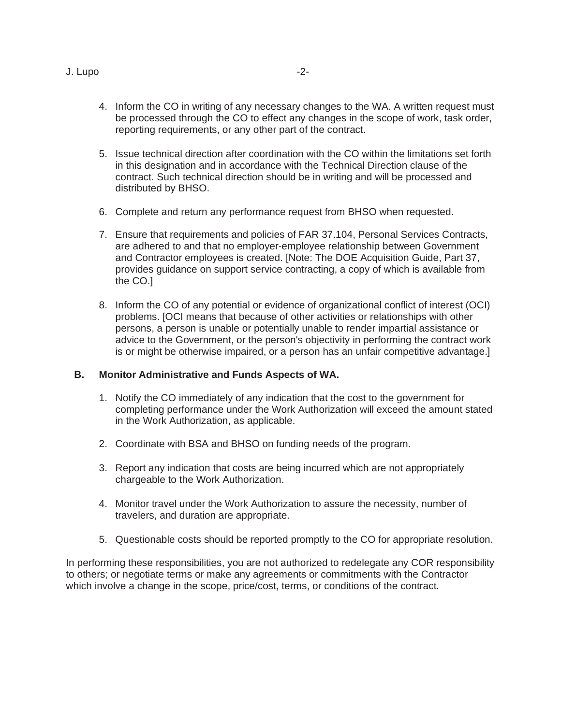- 4. Inform the CO in writing of any necessary changes to the WA. A written request must be processed through the CO to effect any changes in the scope of work, task order, reporting requirements, or any other part of the contract.
- 5. Issue technical direction after coordination with the CO within the limitations set forth in this designation and in accordance with the Technical Direction clause of the contract. Such technical direction should be in writing and will be processed and distributed by BHSO.
- 6. Complete and return any performance request from BHSO when requested.
- 7. Ensure that requirements and policies of FAR 37.104, Personal Services Contracts, are adhered to and that no employer-employee relationship between Government and Contractor employees is created. [Note: The DOE Acquisition Guide, Part 37, provides guidance on support service contracting, a copy of which is available from the CO.]
- 8. Inform the CO of any potential or evidence of organizational conflict of interest (OCI) problems. [OCI means that because of other activities or relationships with other persons, a person is unable or potentially unable to render impartial assistance or advice to the Government, or the person's objectivity in performing the contract work is or might be otherwise impaired, or a person has an unfair competitive advantage.]

#### **B. Monitor Administrative and Funds Aspects of WA.**

- 1. Notify the CO immediately of any indication that the cost to the government for completing performance under the Work Authorization will exceed the amount stated in the Work Authorization, as applicable.
- 2. Coordinate with BSA and BHSO on funding needs of the program.
- 3. Report any indication that costs are being incurred which are not appropriately chargeable to the Work Authorization.
- 4. Monitor travel under the Work Authorization to assure the necessity, number of travelers, and duration are appropriate.
- 5. Questionable costs should be reported promptly to the CO for appropriate resolution.

In performing these responsibilities, you are not authorized to redelegate any COR responsibility to others; or negotiate terms or make any agreements or commitments with the Contractor which involve a change in the scope, price/cost, terms, or conditions of the contract.